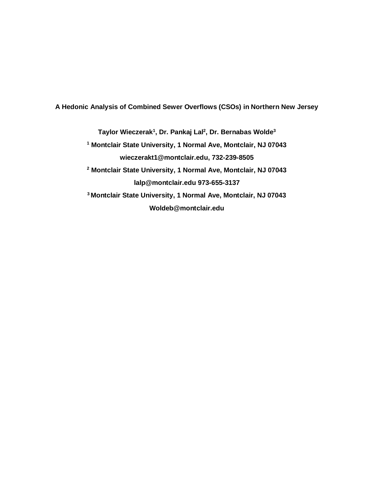**A Hedonic Analysis of Combined Sewer Overflows (CSOs) in Northern New Jersey**

**Taylor Wieczerak<sup>1</sup> , Dr. Pankaj Lal<sup>2</sup> , Dr. Bernabas Wolde<sup>3</sup> <sup>1</sup> Montclair State University, 1 Normal Ave, Montclair, NJ 07043 wieczerakt1@montclair.edu, 732-239-8505 <sup>2</sup> Montclair State University, 1 Normal Ave, Montclair, NJ 07043 lalp@montclair.edu 973-655-3137 <sup>3</sup>Montclair State University, 1 Normal Ave, Montclair, NJ 07043 Woldeb@montclair.edu**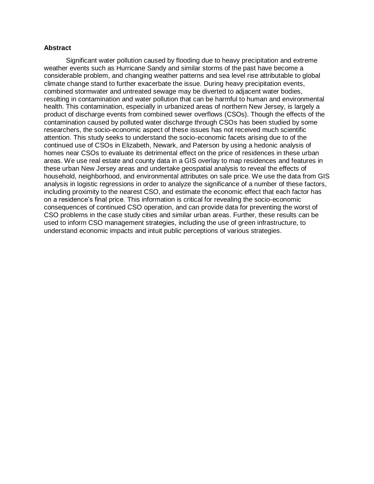#### **Abstract**

Significant water pollution caused by flooding due to heavy precipitation and extreme weather events such as Hurricane Sandy and similar storms of the past have become a considerable problem, and changing weather patterns and sea level rise attributable to global climate change stand to further exacerbate the issue. During heavy precipitation events, combined stormwater and untreated sewage may be diverted to adjacent water bodies, resulting in contamination and water pollution that can be harmful to human and environmental health. This contamination, especially in urbanized areas of northern New Jersey, is largely a product of discharge events from combined sewer overflows (CSOs). Though the effects of the contamination caused by polluted water discharge through CSOs has been studied by some researchers, the socio-economic aspect of these issues has not received much scientific attention. This study seeks to understand the socio-economic facets arising due to of the continued use of CSOs in Elizabeth, Newark, and Paterson by using a hedonic analysis of homes near CSOs to evaluate its detrimental effect on the price of residences in these urban areas. We use real estate and county data in a GIS overlay to map residences and features in these urban New Jersey areas and undertake geospatial analysis to reveal the effects of household, neighborhood, and environmental attributes on sale price. We use the data from GIS analysis in logistic regressions in order to analyze the significance of a number of these factors, including proximity to the nearest CSO, and estimate the economic effect that each factor has on a residence's final price. This information is critical for revealing the socio-economic consequences of continued CSO operation, and can provide data for preventing the worst of CSO problems in the case study cities and similar urban areas. Further, these results can be used to inform CSO management strategies, including the use of green infrastructure, to understand economic impacts and intuit public perceptions of various strategies.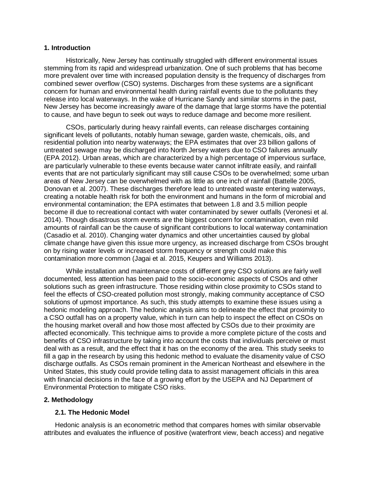### **1. Introduction**

Historically, New Jersey has continually struggled with different environmental issues stemming from its rapid and widespread urbanization. One of such problems that has become more prevalent over time with increased population density is the frequency of discharges from combined sewer overflow (CSO) systems. Discharges from these systems are a significant concern for human and environmental health during rainfall events due to the pollutants they release into local waterways. In the wake of Hurricane Sandy and similar storms in the past, New Jersey has become increasingly aware of the damage that large storms have the potential to cause, and have begun to seek out ways to reduce damage and become more resilient.

CSOs, particularly during heavy rainfall events, can release discharges containing significant levels of pollutants, notably human sewage, garden waste, chemicals, oils, and residential pollution into nearby waterways; the EPA estimates that over 23 billion gallons of untreated sewage may be discharged into North Jersey waters due to CSO failures annually (EPA 2012). Urban areas, which are characterized by a high percentage of impervious surface, are particularly vulnerable to these events because water cannot infiltrate easily, and rainfall events that are not particularly significant may still cause CSOs to be overwhelmed; some urban areas of New Jersey can be overwhelmed with as little as one inch of rainfall (Battelle 2005, Donovan et al. 2007). These discharges therefore lead to untreated waste entering waterways, creating a notable health risk for both the environment and humans in the form of microbial and environmental contamination; the EPA estimates that between 1.8 and 3.5 million people become ill due to recreational contact with water contaminated by sewer outfalls (Veronesi et al. 2014). Though disastrous storm events are the biggest concern for contamination, even mild amounts of rainfall can be the cause of significant contributions to local waterway contamination (Casadio et al. 2010). Changing water dynamics and other uncertainties caused by global climate change have given this issue more urgency, as increased discharge from CSOs brought on by rising water levels or increased storm frequency or strength could make this contamination more common (Jagai et al. 2015, Keupers and Williams 2013).

While installation and maintenance costs of different grey CSO solutions are fairly well documented, less attention has been paid to the socio-economic aspects of CSOs and other solutions such as green infrastructure. Those residing within close proximity to CSOs stand to feel the effects of CSO-created pollution most strongly, making community acceptance of CSO solutions of upmost importance. As such, this study attempts to examine these issues using a hedonic modeling approach. The hedonic analysis aims to delineate the effect that proximity to a CSO outfall has on a property value, which in turn can help to inspect the effect on CSOs on the housing market overall and how those most affected by CSOs due to their proximity are affected economically. This technique aims to provide a more complete picture of the costs and benefits of CSO infrastructure by taking into account the costs that individuals perceive or must deal with as a result, and the effect that it has on the economy of the area. This study seeks to fill a gap in the research by using this hedonic method to evaluate the disamenity value of CSO discharge outfalls. As CSOs remain prominent in the American Northeast and elsewhere in the United States, this study could provide telling data to assist management officials in this area with financial decisions in the face of a growing effort by the USEPA and NJ Department of Environmental Protection to mitigate CSO risks.

### **2. Methodology**

### **2.1. The Hedonic Model**

Hedonic analysis is an econometric method that compares homes with similar observable attributes and evaluates the influence of positive (waterfront view, beach access) and negative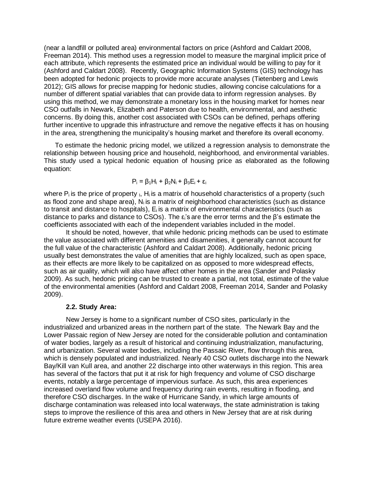(near a landfill or polluted area) environmental factors on price (Ashford and Caldart 2008, Freeman 2014). This method uses a regression model to measure the marginal implicit price of each attribute, which represents the estimated price an individual would be willing to pay for it (Ashford and Caldart 2008). Recently, Geographic Information Systems (GIS) technology has been adopted for hedonic projects to provide more accurate analyses (Tietenberg and Lewis 2012); GIS allows for precise mapping for hedonic studies, allowing concise calculations for a number of different spatial variables that can provide data to inform regression analyses. By using this method, we may demonstrate a monetary loss in the housing market for homes near CSO outfalls in Newark, Elizabeth and Paterson due to health, environmental, and aesthetic concerns. By doing this, another cost associated with CSOs can be defined, perhaps offering further incentive to upgrade this infrastructure and remove the negative effects it has on housing in the area, strengthening the municipality's housing market and therefore its overall economy.

To estimate the hedonic pricing model, we utilized a regression analysis to demonstrate the relationship between housing price and household, neighborhood, and environmental variables. This study used a typical hedonic equation of housing price as elaborated as the following equation:

$$
P_i = \beta_1 H_i + \beta_2 N_i + \beta_3 E_i + \epsilon_i
$$

where  $P_i$  is the price of property  $I$ ,  $H_i$  is a matrix of household characteristics of a property (such as flood zone and shape area),  $N_i$  is a matrix of neighborhood characteristics (such as distance to transit and distance to hospitals), Ei is a matrix of environmental characteristics (such as distance to parks and distance to CSOs). The  $\varepsilon_i$ 's are the error terms and the  $\beta$ 's estimate the coefficients associated with each of the independent variables included in the model.

It should be noted, however, that while hedonic pricing methods can be used to estimate the value associated with different amenities and disamenities, it generally cannot account for the full value of the characteristic (Ashford and Caldart 2008). Additionally, hedonic pricing usually best demonstrates the value of amenities that are highly localized, such as open space, as their effects are more likely to be capitalized on as opposed to more widespread effects, such as air quality, which will also have affect other homes in the area (Sander and Polasky 2009). As such, hedonic pricing can be trusted to create a partial, not total, estimate of the value of the environmental amenities (Ashford and Caldart 2008, Freeman 2014, Sander and Polasky 2009).

### **2.2. Study Area:**

New Jersey is home to a significant number of CSO sites, particularly in the industrialized and urbanized areas in the northern part of the state. The Newark Bay and the Lower Passaic region of New Jersey are noted for the considerable pollution and contamination of water bodies, largely as a result of historical and continuing industrialization, manufacturing, and urbanization. Several water bodies, including the Passaic River, flow through this area, which is densely populated and industrialized. Nearly 40 CSO outlets discharge into the Newark Bay/Kill van Kull area, and another 22 discharge into other waterways in this region. This area has several of the factors that put it at risk for high frequency and volume of CSO discharge events, notably a large percentage of impervious surface. As such, this area experiences increased overland flow volume and frequency during rain events, resulting in flooding, and therefore CSO discharges. In the wake of Hurricane Sandy, in which large amounts of discharge contamination was released into local waterways, the state administration is taking steps to improve the resilience of this area and others in New Jersey that are at risk during future extreme weather events (USEPA 2016).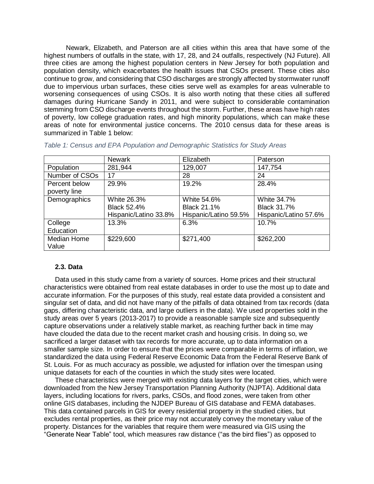Newark, Elizabeth, and Paterson are all cities within this area that have some of the highest numbers of outfalls in the state, with 17, 28, and 24 outfalls, respectively (NJ Future). All three cities are among the highest population centers in New Jersey for both population and population density, which exacerbates the health issues that CSOs present. These cities also continue to grow, and considering that CSO discharges are strongly affected by stormwater runoff due to impervious urban surfaces, these cities serve well as examples for areas vulnerable to worsening consequences of using CSOs. It is also worth noting that these cities all suffered damages during Hurricane Sandy in 2011, and were subject to considerable contamination stemming from CSO discharge events throughout the storm. Further, these areas have high rates of poverty, low college graduation rates, and high minority populations, which can make these areas of note for environmental justice concerns. The 2010 census data for these areas is summarized in Table 1 below:

|                | Newark                | Elizabeth             | Paterson              |
|----------------|-----------------------|-----------------------|-----------------------|
| Population     | 281,944               | 129,007               | 147,754               |
| Number of CSOs | 17                    | 28                    | 24                    |
| Percent below  | 29.9%                 | 19.2%                 | 28.4%                 |
| poverty line   |                       |                       |                       |
| Demographics   | White 26.3%           | White 54.6%           | White 34.7%           |
|                | <b>Black 52.4%</b>    | <b>Black 21.1%</b>    | <b>Black 31.7%</b>    |
|                | Hispanic/Latino 33.8% | Hispanic/Latino 59.5% | Hispanic/Latino 57.6% |
| College        | 13.3%                 | 6.3%                  | 10.7%                 |
| Education      |                       |                       |                       |
| Median Home    | \$229,600             | \$271,400             | \$262,200             |
| Value          |                       |                       |                       |

|  |  |  |  | Table 1: Census and EPA Population and Demographic Statistics for Study Areas |  |  |
|--|--|--|--|-------------------------------------------------------------------------------|--|--|
|  |  |  |  |                                                                               |  |  |

#### **2.3. Data**

Data used in this study came from a variety of sources. Home prices and their structural characteristics were obtained from real estate databases in order to use the most up to date and accurate information. For the purposes of this study, real estate data provided a consistent and singular set of data, and did not have many of the pitfalls of data obtained from tax records (data gaps, differing characteristic data, and large outliers in the data). We used properties sold in the study areas over 5 years (2013-2017) to provide a reasonable sample size and subsequently capture observations under a relatively stable market, as reaching further back in time may have clouded the data due to the recent market crash and housing crisis. In doing so, we sacrificed a larger dataset with tax records for more accurate, up to data information on a smaller sample size. In order to ensure that the prices were comparable in terms of inflation, we standardized the data using Federal Reserve Economic Data from the Federal Reserve Bank of St. Louis. For as much accuracy as possible, we adjusted for inflation over the timespan using unique datasets for each of the counties in which the study sites were located.

These characteristics were merged with existing data layers for the target cities, which were downloaded from the New Jersey Transportation Planning Authority (NJPTA). Additional data layers, including locations for rivers, parks, CSOs, and flood zones, were taken from other online GIS databases, including the NJDEP Bureau of GIS database and FEMA databases. This data contained parcels in GIS for every residential property in the studied cities, but excludes rental properties, as their price may not accurately convey the monetary value of the property. Distances for the variables that require them were measured via GIS using the "Generate Near Table" tool, which measures raw distance ("as the bird flies") as opposed to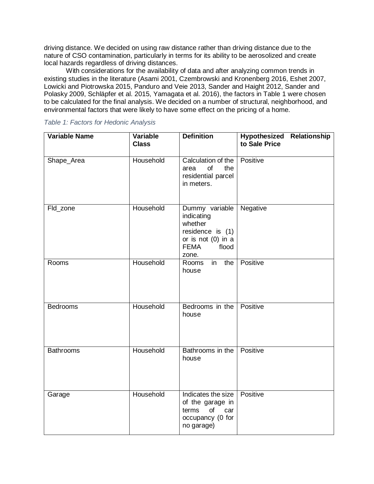driving distance. We decided on using raw distance rather than driving distance due to the nature of CSO contamination, particularly in terms for its ability to be aerosolized and create local hazards regardless of driving distances.

With considerations for the availability of data and after analyzing common trends in existing studies in the literature (Asami 2001, Czembrowski and Kronenberg 2016, Eshet 2007, Lowicki and Piotrowska 2015, Panduro and Veie 2013, Sander and Haight 2012, Sander and Polasky 2009, Schläpfer et al. 2015, Yamagata et al. 2016), the factors in Table 1 were chosen to be calculated for the final analysis. We decided on a number of structural, neighborhood, and environmental factors that were likely to have some effect on the pricing of a home.

### *Table 1: Factors for Hedonic Analysis*

| <b>Variable Name</b> | <b>Variable</b><br><b>Class</b> | <b>Definition</b>                                                                                                    | Hypothesized Relationship<br>to Sale Price |
|----------------------|---------------------------------|----------------------------------------------------------------------------------------------------------------------|--------------------------------------------|
| Shape_Area           | Household                       | Calculation of the<br>of<br>the<br>area<br>residential parcel<br>in meters.                                          | Positive                                   |
| Fld_zone             | Household                       | Dummy variable<br>indicating<br>whether<br>residence is (1)<br>or is not $(0)$ in a<br><b>FEMA</b><br>flood<br>zone. | Negative                                   |
| Rooms                | Household                       | in<br>Rooms<br>the  <br>house                                                                                        | Positive                                   |
| <b>Bedrooms</b>      | Household                       | Bedrooms in the<br>house                                                                                             | Positive                                   |
| <b>Bathrooms</b>     | Household                       | Bathrooms in the<br>house                                                                                            | <b>Positive</b>                            |
| Garage               | Household                       | Indicates the size<br>of the garage in<br>of<br>terms<br>car<br>occupancy (0 for<br>no garage)                       | Positive                                   |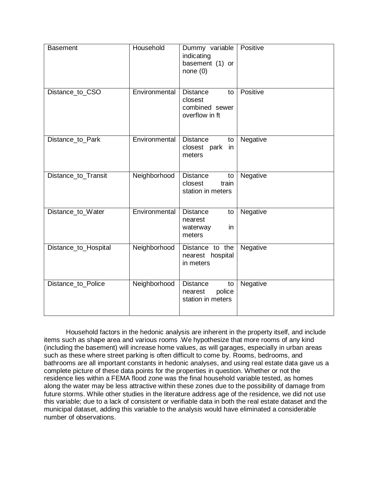| <b>Basement</b>      | Household     | Dummy variable<br>indicating<br>basement (1) or<br>none(0)           | Positive |
|----------------------|---------------|----------------------------------------------------------------------|----------|
| Distance_to_CSO      | Environmental | <b>Distance</b><br>to<br>closest<br>combined sewer<br>overflow in ft | Positive |
| Distance_to_Park     | Environmental | <b>Distance</b><br>to<br>closest park<br>in<br>meters                | Negative |
| Distance_to_Transit  | Neighborhood  | <b>Distance</b><br>to<br>train<br>closest<br>station in meters       | Negative |
| Distance_to_Water    | Environmental | <b>Distance</b><br>to<br>nearest<br>waterway<br>in<br>meters         | Negative |
| Distance_to_Hospital | Neighborhood  | Distance to the<br>nearest hospital<br>in meters                     | Negative |
| Distance_to_Police   | Neighborhood  | <b>Distance</b><br>to<br>police<br>nearest<br>station in meters      | Negative |

Household factors in the hedonic analysis are inherent in the property itself, and include items such as shape area and various rooms .We hypothesize that more rooms of any kind (including the basement) will increase home values, as will garages, especially in urban areas such as these where street parking is often difficult to come by. Rooms, bedrooms, and bathrooms are all important constants in hedonic analyses, and using real estate data gave us a complete picture of these data points for the properties in question. Whether or not the residence lies within a FEMA flood zone was the final household variable tested, as homes along the water may be less attractive within these zones due to the possibility of damage from future storms. While other studies in the literature address age of the residence, we did not use this variable; due to a lack of consistent or verifiable data in both the real estate dataset and the municipal dataset, adding this variable to the analysis would have eliminated a considerable number of observations.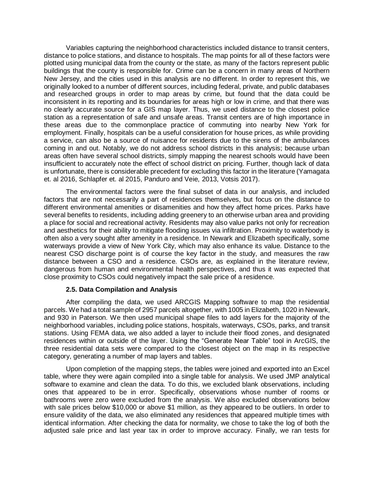Variables capturing the neighborhood characteristics included distance to transit centers, distance to police stations, and distance to hospitals. The map points for all of these factors were plotted using municipal data from the county or the state, as many of the factors represent public buildings that the county is responsible for. Crime can be a concern in many areas of Northern New Jersey, and the cities used in this analysis are no different. In order to represent this, we originally looked to a number of different sources, including federal, private, and public databases and researched groups in order to map areas by crime, but found that the data could be inconsistent in its reporting and its boundaries for areas high or low in crime, and that there was no clearly accurate source for a GIS map layer. Thus, we used distance to the closest police station as a representation of safe and unsafe areas. Transit centers are of high importance in these areas due to the commonplace practice of commuting into nearby New York for employment. Finally, hospitals can be a useful consideration for house prices, as while providing a service, can also be a source of nuisance for residents due to the sirens of the ambulances coming in and out. Notably, we do not address school districts in this analysis; because urban areas often have several school districts, simply mapping the nearest schools would have been insufficient to accurately note the effect of school district on pricing. Further, though lack of data is unfortunate, there is considerable precedent for excluding this factor in the literature (Yamagata et. al 2016, Schlapfer et. al 2015, Panduro and Veie, 2013, Votsis 2017).

The environmental factors were the final subset of data in our analysis, and included factors that are not necessarily a part of residences themselves, but focus on the distance to different environmental amenities or disamenities and how they affect home prices. Parks have several benefits to residents, including adding greenery to an otherwise urban area and providing a place for social and recreational activity. Residents may also value parks not only for recreation and aesthetics for their ability to mitigate flooding issues via infiltration. Proximity to waterbody is often also a very sought after amenity in a residence. In Newark and Elizabeth specifically, some waterways provide a view of New York City, which may also enhance its value. Distance to the nearest CSO discharge point is of course the key factor in the study, and measures the raw distance between a CSO and a residence. CSOs are, as explained in the literature review, dangerous from human and environmental health perspectives, and thus it was expected that close proximity to CSOs could negatively impact the sale price of a residence.

### **2.5. Data Compilation and Analysis**

After compiling the data, we used ARCGIS Mapping software to map the residential parcels. We had a total sample of 2957 parcels altogether, with 1005 in Elizabeth, 1020 in Newark, and 930 in Paterson. We then used municipal shape files to add layers for the majority of the neighborhood variables, including police stations, hospitals, waterways, CSOs, parks, and transit stations. Using FEMA data, we also added a layer to include their flood zones, and designated residences within or outside of the layer. Using the "Generate Near Table" tool in ArcGIS, the three residential data sets were compared to the closest object on the map in its respective category, generating a number of map layers and tables.

Upon completion of the mapping steps, the tables were joined and exported into an Excel table, where they were again compiled into a single table for analysis. We used JMP analytical software to examine and clean the data. To do this, we excluded blank observations, including ones that appeared to be in error. Specifically, observations whose number of rooms or bathrooms were zero were excluded from the analysis. We also excluded observations below with sale prices below \$10,000 or above \$1 million, as they appeared to be outliers. In order to ensure validity of the data, we also eliminated any residences that appeared multiple times with identical information. After checking the data for normality, we chose to take the log of both the adjusted sale price and last year tax in order to improve accuracy. Finally, we ran tests for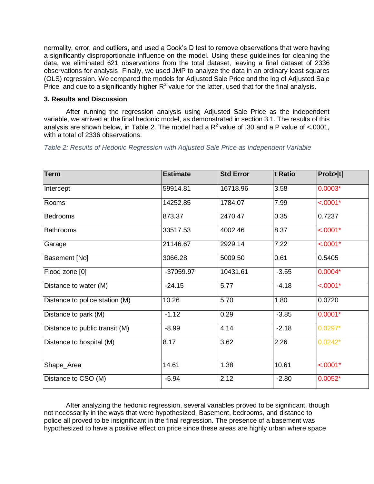normality, error, and outliers, and used a Cook's D test to remove observations that were having a significantly disproportionate influence on the model. Using these guidelines for cleaning the data, we eliminated 621 observations from the total dataset, leaving a final dataset of 2336 observations for analysis. Finally, we used JMP to analyze the data in an ordinary least squares (OLS) regression. We compared the models for Adjusted Sale Price and the log of Adjusted Sale Price, and due to a significantly higher  $R^2$  value for the latter, used that for the final analysis.

# **3. Results and Discussion**

After running the regression analysis using Adjusted Sale Price as the independent variable, we arrived at the final hedonic model, as demonstrated in section 3.1. The results of this analysis are shown below, in Table 2. The model had a  $R^2$  value of .30 and a P value of <.0001, with a total of 2336 observations.

*Table 2: Results of Hedonic Regression with Adjusted Sale Price as Independent Variable*

| <b>Term</b>                    | <b>Estimate</b> | <b>Std Error</b> | t Ratio | Prob> t    |
|--------------------------------|-----------------|------------------|---------|------------|
| Intercept                      | 59914.81        | 16718.96         | 3.58    | $0.0003*$  |
| Rooms                          | 14252.85        | 1784.07          | 7.99    | $< .0001*$ |
| <b>Bedrooms</b>                | 873.37          | 2470.47          | 0.35    | 0.7237     |
| <b>Bathrooms</b>               | 33517.53        | 4002.46          | 8.37    | $< .0001*$ |
| Garage                         | 21146.67        | 2929.14          | 7.22    | $< .0001*$ |
| Basement [No]                  | 3066.28         | 5009.50          | 0.61    | 0.5405     |
| Flood zone [0]                 | -37059.97       | 10431.61         | $-3.55$ | $0.0004*$  |
| Distance to water (M)          | $-24.15$        | 5.77             | $-4.18$ | $< .0001*$ |
| Distance to police station (M) | 10.26           | 5.70             | 1.80    | 0.0720     |
| Distance to park (M)           | $-1.12$         | 0.29             | $-3.85$ | $0.0001*$  |
| Distance to public transit (M) | $-8.99$         | 4.14             | $-2.18$ | $0.0297*$  |
| Distance to hospital (M)       | 8.17            | 3.62             | 2.26    | $0.0242*$  |
| Shape_Area                     | 14.61           | 1.38             | 10.61   | $< .0001*$ |
| Distance to CSO (M)            | $-5.94$         | 2.12             | $-2.80$ | $0.0052*$  |

After analyzing the hedonic regression, several variables proved to be significant, though not necessarily in the ways that were hypothesized. Basement, bedrooms, and distance to police all proved to be insignificant in the final regression. The presence of a basement was hypothesized to have a positive effect on price since these areas are highly urban where space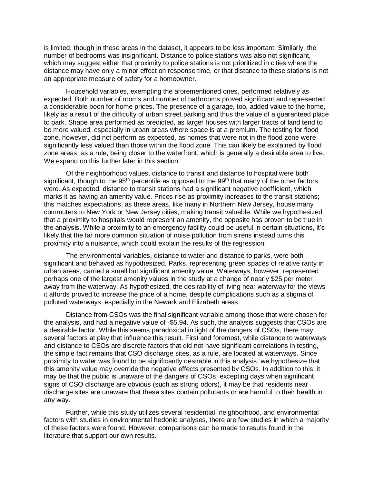is limited, though in these areas in the dataset, it appears to be less important. Similarly, the number of bedrooms was insignificant. Distance to police stations was also not significant, which may suggest either that proximity to police stations is not prioritized in cities where the distance may have only a minor effect on response time, or that distance to these stations is not an appropriate measure of safety for a homeowner.

Household variables, exempting the aforementioned ones, performed relatively as expected. Both number of rooms and number of bathrooms proved significant and represented a considerable boon for home prices. The presence of a garage, too, added value to the home, likely as a result of the difficulty of urban street parking and thus the value of a guaranteed place to park. Shape area performed as predicted, as larger houses with larger tracts of land tend to be more valued, especially in urban areas where space is at a premium. The testing for flood zone, however, did not perform as expected, as homes that were not in the flood zone were significantly less valued than those within the flood zone. This can likely be explained by flood zone areas, as a rule, being closer to the waterfront, which is generally a desirable area to live. We expand on this further later in this section.

Of the neighborhood values, distance to transit and distance to hospital were both significant, though to the 95<sup>th</sup> percentile as opposed to the 99<sup>th</sup> that many of the other factors were. As expected, distance to transit stations had a significant negative coefficient, which marks it as having an amenity value. Prices rise as proximity increases to the transit stations; this matches expectations, as these areas, like many in Northern New Jersey, house many commuters to New York or New Jersey cities, making transit valuable. While we hypothesized that a proximity to hospitals would represent an amenity, the opposite has proven to be true in the analysis. While a proximity to an emergency facility could be useful in certain situations, it's likely that the far more common situation of noise pollution from sirens instead turns this proximity into a nuisance, which could explain the results of the regression.

The environmental variables, distance to water and distance to parks, were both significant and behaved as hypothesized. Parks, representing green spaces of relative rarity in urban areas, carried a small but significant amenity value. Waterways, however, represented perhaps one of the largest amenity values in the study at a change of nearly \$25 per meter away from the waterway. As hypothesized, the desirability of living near waterway for the views it affords proved to increase the price of a home, despite complications such as a stigma of polluted waterways, especially in the Newark and Elizabeth areas.

Distance from CSOs was the final significant variable among those that were chosen for the analysis, and had a negative value of -\$5.94. As such, the analysis suggests that CSOs are a desirable factor. While this seems paradoxical in light of the dangers of CSOs, there may several factors at play that influence this result. First and foremost, while distance to waterways and distance to CSOs are discrete factors that did not have significant correlations in testing, the simple fact remains that CSO discharge sites, as a rule, are located at waterways. Since proximity to water was found to be significantly desirable in this analysis, we hypothesize that this amenity value may override the negative effects presented by CSOs. In addition to this, it may be that the public is unaware of the dangers of CSOs; excepting days when significant signs of CSO discharge are obvious (such as strong odors), it may be that residents near discharge sites are unaware that these sites contain pollutants or are harmful to their health in any way.

Further, while this study utilizes several residential, neighborhood, and environmental factors with studies in environmental hedonic analyses, there are few studies in which a majority of these factors were found. However, comparisons can be made to results found in the literature that support our own results.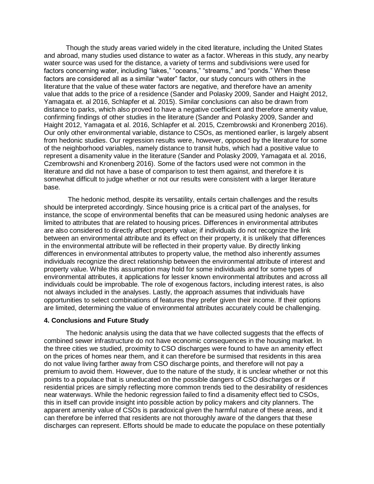Though the study areas varied widely in the cited literature, including the United States and abroad, many studies used distance to water as a factor. Whereas in this study, any nearby water source was used for the distance, a variety of terms and subdivisions were used for factors concerning water, including "lakes," "oceans," "streams," and "ponds." When these factors are considered all as a similar "water" factor, our study concurs with others in the literature that the value of these water factors are negative, and therefore have an amenity value that adds to the price of a residence (Sander and Polasky 2009, Sander and Haight 2012, Yamagata et. al 2016, Schlapfer et al. 2015). Similar conclusions can also be drawn from distance to parks, which also proved to have a negative coefficient and therefore amenity value, confirming findings of other studies in the literature (Sander and Polasky 2009, Sander and Haight 2012, Yamagata et al. 2016, Schlapfer et al. 2015, Czembrowski and Kronenberg 2016). Our only other environmental variable, distance to CSOs, as mentioned earlier, is largely absent from hedonic studies. Our regression results were, however, opposed by the literature for some of the neighborhood variables, namely distance to transit hubs, which had a positive value to represent a disamenity value in the literature (Sander and Polasky 2009, Yamagata et al. 2016, Czembrowshi and Kronenberg 2016). Some of the factors used were not common in the literature and did not have a base of comparison to test them against, and therefore it is somewhat difficult to judge whether or not our results were consistent with a larger literature base.

The hedonic method, despite its versatility, entails certain challenges and the results should be interpreted accordingly. Since housing price is a critical part of the analyses, for instance, the scope of environmental benefits that can be measured using hedonic analyses are limited to attributes that are related to housing prices. Differences in environmental attributes are also considered to directly affect property value; if individuals do not recognize the link between an environmental attribute and its effect on their property, it is unlikely that differences in the environmental attribute will be reflected in their property value. By directly linking differences in environmental attributes to property value, the method also inherently assumes individuals recognize the direct relationship between the environmental attribute of interest and property value. While this assumption may hold for some individuals and for some types of environmental attributes, it applications for lesser known environmental attributes and across all individuals could be improbable. The role of exogenous factors, including interest rates, is also not always included in the analyses. Lastly, the approach assumes that individuals have opportunities to select combinations of features they prefer given their income. If their options are limited, determining the value of environmental attributes accurately could be challenging.

#### **4. Conclusions and Future Study**

The hedonic analysis using the data that we have collected suggests that the effects of combined sewer infrastructure do not have economic consequences in the housing market. In the three cities we studied, proximity to CSO discharges were found to have an amenity effect on the prices of homes near them, and it can therefore be surmised that residents in this area do not value living farther away from CSO discharge points, and therefore will not pay a premium to avoid them. However, due to the nature of the study, it is unclear whether or not this points to a populace that is uneducated on the possible dangers of CSO discharges or if residential prices are simply reflecting more common trends tied to the desirability of residences near waterways. While the hedonic regression failed to find a disamenity effect tied to CSOs, this in itself can provide insight into possible action by policy makers and city planners. The apparent amenity value of CSOs is paradoxical given the harmful nature of these areas, and it can therefore be inferred that residents are not thoroughly aware of the dangers that these discharges can represent. Efforts should be made to educate the populace on these potentially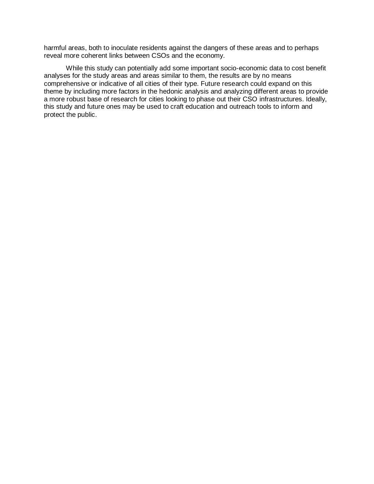harmful areas, both to inoculate residents against the dangers of these areas and to perhaps reveal more coherent links between CSOs and the economy.

While this study can potentially add some important socio-economic data to cost benefit analyses for the study areas and areas similar to them, the results are by no means comprehensive or indicative of all cities of their type. Future research could expand on this theme by including more factors in the hedonic analysis and analyzing different areas to provide a more robust base of research for cities looking to phase out their CSO infrastructures. Ideally, this study and future ones may be used to craft education and outreach tools to inform and protect the public.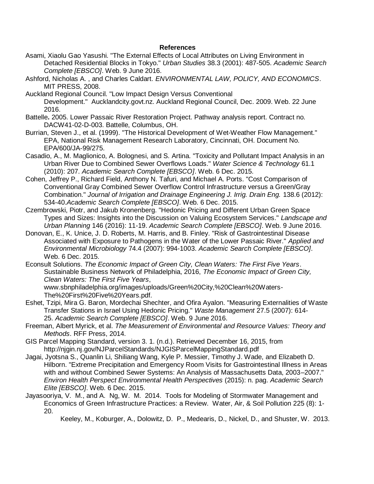## **References**

- Asami, Xiaolu Gao Yasushi. "The External Effects of Local Attributes on Living Environment in Detached Residential Blocks in Tokyo." *Urban Studies* 38.3 (2001): 487-505. *Academic Search Complete [EBSCO]*. Web. 9 June 2016.
- Ashford, Nicholas A. , and Charles Caldart. *ENVIRONMENTAL LAW, POLICY, AND ECONOMICS*. MIT PRESS, 2008.
- Auckland Regional Council. "Low Impact Design Versus Conventional Development." Aucklandcity.govt.nz. Auckland Regional Council, Dec. 2009. Web. 22 June 2016.
- Battelle**.** 2005. Lower Passaic River Restoration Project. Pathway analysis report. Contract no. DACW41-02-D-003. Battelle, Columbus, OH.
- Burrian, Steven J., et al. (1999). "The Historical Development of Wet-Weather Flow Management." EPA, National Risk Management Research Laboratory, Cincinnati, OH. Document No. EPA/600/JA-99/275.
- Casadio, A., M. Maglionico, A. Bolognesi, and S. Artina. "Toxicity and Pollutant Impact Analysis in an Urban River Due to Combined Sewer Overflows Loads." *Water Science & Technology* 61.1 (2010): 207. *Academic Search Complete [EBSCO]*. Web. 6 Dec. 2015.
- Cohen, Jeffrey P., Richard Field, Anthony N. Tafuri, and Michael A. Ports. "Cost Comparison of Conventional Gray Combined Sewer Overflow Control Infrastructure versus a Green/Gray Combination." *Journal of Irrigation and Drainage Engineering J. Irrig. Drain Eng.* 138.6 (2012): 534-40.*Academic Search Complete [EBSCO]*. Web. 6 Dec. 2015.
- Czembrowski, Piotr, and Jakub Kronenberg. "Hedonic Pricing and Different Urban Green Space Types and Sizes: Insights into the Discussion on Valuing Ecosystem Services." *Landscape and Urban Planning* 146 (2016): 11-19. *Academic Search Complete [EBSCO]*. Web. 9 June 2016.
- Donovan, E., K. Unice, J. D. Roberts, M. Harris, and B. Finley. "Risk of Gastrointestinal Disease Associated with Exposure to Pathogens in the Water of the Lower Passaic River." *Applied and Environmental Microbiology* 74.4 (2007): 994-1003. *Academic Search Complete [EBSCO]*. Web. 6 Dec. 2015.
- Econsult Solutions. *The Economic Impact of Green City, Clean Waters: The First Five Years*. Sustainable Business Network of Philadelphia, 2016, *The Economic Impact of Green City, Clean Waters: The First Five Years*,

www.sbnphiladelphia.org/images/uploads/Green%20City,%20Clean%20Waters-The%20First%20Five%20Years.pdf.

- Eshet, Tzipi, Mira G. Baron, Mordechai Shechter, and Ofira Ayalon. "Measuring Externalities of Waste Transfer Stations in Israel Using Hedonic Pricing." *Waste Management* 27.5 (2007): 614- 25. *Academic Search Complete [EBSCO]*. Web. 9 June 2016.
- Freeman, Albert Myrick, et al. *The Measurement of Environmental and Resource Values: Theory and Methods*. RFF Press, 2014.
- GIS Parcel Mapping Standard, version 3. 1. (n.d.). Retrieved December 16, 2015, from http://njgin.nj.gov/NJParcelStandards/NJGISParcelMappingStandard.pdf
- Jagai, Jyotsna S., Quanlin Li, Shiliang Wang, Kyle P. Messier, Timothy J. Wade, and Elizabeth D. Hilborn. "Extreme Precipitation and Emergency Room Visits for Gastrointestinal Illness in Areas with and without Combined Sewer Systems: An Analysis of Massachusetts Data, 2003–2007." *Environ Health Perspect Environmental Health Perspectives* (2015): n. pag. *Academic Search Elite [EBSCO]*. Web. 6 Dec. 2015.
- Jayasooriya, V. M., and A. Ng, W. M. 2014. Tools for Modeling of Stormwater Management and Economics of Green Infrastructure Practices: a Review. Water, Air, & Soil Pollution 225 (8): 1- 20.

Keeley, M., Koburger, A., Dolowitz, D. P., Medearis, D., Nickel, D., and Shuster, W. 2013.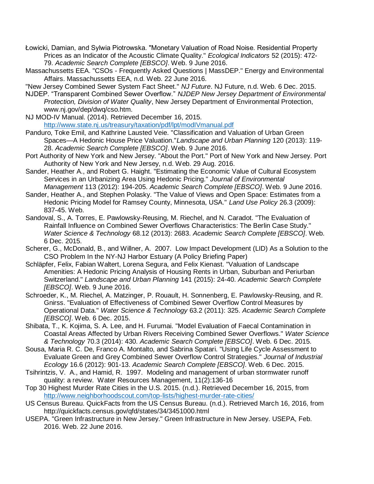- Łowicki, Damian, and Sylwia Piotrowska. "Monetary Valuation of Road Noise. Residential Property Prices as an Indicator of the Acoustic Climate Quality." *Ecological Indicators* 52 (2015): 472- 79. *Academic Search Complete [EBSCO]*. Web. 9 June 2016.
- Massachussetts EEA. "CSOs Frequently Asked Questions | MassDEP." Energy and Environmental Affairs. Massachussetts EEA, n.d. Web. 22 June 2016.
- "New Jersey Combined Sewer System Fact Sheet." *NJ Future*. NJ Future, n.d. Web. 6 Dec. 2015.
- NJDEP. "Transparent Combined Sewer Overflow." *NJDEP New Jersey Department of Environmental Protection, Division of Water Quality*, New Jersey Department of Environmental Protection, www.nj.gov/dep/dwq/cso.htm.
- NJ MOD-IV Manual. (2014). Retrieved December 16, 2015. <http://www.state.nj.us/treasury/taxation/pdf/lpt/modIVmanual.pdf>
- Panduro, Toke Emil, and Kathrine Lausted Veie. "Classification and Valuation of Urban Green Spaces—A Hedonic House Price Valuation."*Landscape and Urban Planning* 120 (2013): 119- 28. *Academic Search Complete [EBSCO]*. Web. 9 June 2016.
- Port Authority of New York and New Jersey. "About the Port." Port of New York and New Jersey. Port Authority of New York and New Jersey, n.d. Web. 29 Aug. 2016.
- Sander, Heather A., and Robert G. Haight. "Estimating the Economic Value of Cultural Ecosystem Services in an Urbanizing Area Using Hedonic Pricing." *Journal of Environmental Management* 113 (2012): 194-205. *Academic Search Complete [EBSCO]*. Web. 9 June 2016.
- Sander, Heather A., and Stephen Polasky. "The Value of Views and Open Space: Estimates from a Hedonic Pricing Model for Ramsey County, Minnesota, USA." *Land Use Policy* 26.3 (2009): 837-45. Web.
- Sandoval, S., A. Torres, E. Pawlowsky-Reusing, M. Riechel, and N. Caradot. "The Evaluation of Rainfall Influence on Combined Sewer Overflows Characteristics: The Berlin Case Study." *Water Science & Technology* 68.12 (2013): 2683. *Academic Search Complete [EBSCO]*. Web. 6 Dec. 2015.
- Scherer, G., McDonald, B., and Willner, A. 2007. Low Impact Development (LID) As a Solution to the CSO Problem In the NY-NJ Harbor Estuary (A Policy Briefing Paper)
- Schläpfer, Felix, Fabian Waltert, Lorena Segura, and Felix Kienast. "Valuation of Landscape Amenities: A Hedonic Pricing Analysis of Housing Rents in Urban, Suburban and Periurban Switzerland." *Landscape and Urban Planning* 141 (2015): 24-40. *Academic Search Complete [EBSCO]*. Web. 9 June 2016.
- Schroeder, K., M. Riechel, A. Matzinger, P. Rouault, H. Sonnenberg, E. Pawlowsky-Reusing, and R. Gnirss. "Evaluation of Effectiveness of Combined Sewer Overflow Control Measures by Operational Data." *Water Science & Technology* 63.2 (2011): 325. *Academic Search Complete [EBSCO]*. Web. 6 Dec. 2015.
- Shibata, T., K. Kojima, S. A. Lee, and H. Furumai. "Model Evaluation of Faecal Contamination in Coastal Areas Affected by Urban Rivers Receiving Combined Sewer Overflows." *Water Science & Technology* 70.3 (2014): 430. *Academic Search Complete [EBSCO]*. Web. 6 Dec. 2015.
- Sousa, Maria R. C. De, Franco A. Montalto, and Sabrina Spatari. "Using Life Cycle Assessment to Evaluate Green and Grey Combined Sewer Overflow Control Strategies." *Journal of Industrial Ecology* 16.6 (2012): 901-13. *Academic Search Complete [EBSCO]*. Web. 6 Dec. 2015.
- Tsihrintzis, V. A., and Hamid, R. 1997. Modeling and management of urban stormwater runoff quality: a review. Water Resources Management, 11(2):136-16
- Top 30 Highest Murder Rate Cities in the U.S. 2015. (n.d.). Retrieved December 16, 2015, from <http://www.neighborhoodscout.com/top-lists/highest-murder-rate-cities/>
- US Census Bureau. QuickFacts from the US Census Bureau. (n.d.). Retrieved March 16, 2016, from http://quickfacts.census.gov/qfd/states/34/3451000.html
- USEPA. "Green Infrastructure in New Jersey." Green Infrastructure in New Jersey. USEPA, Feb. 2016. Web. 22 June 2016.